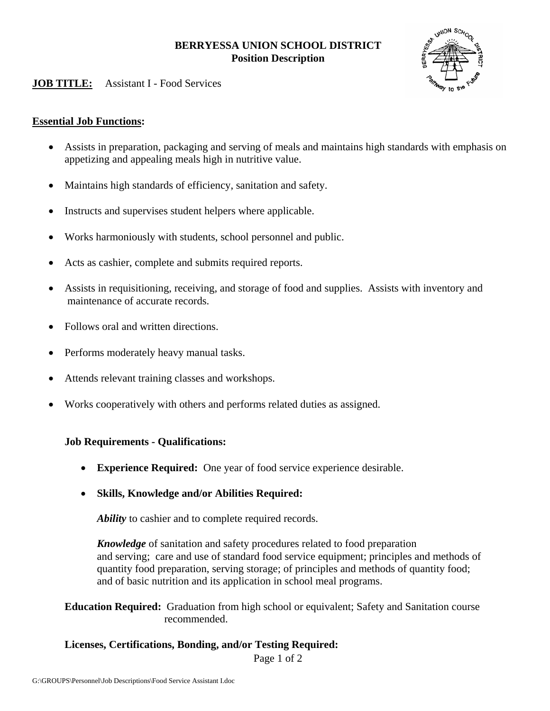# **BERRYESSA UNION SCHOOL DISTRICT Position Description**

# **JOB TITLE:** Assistant I - Food Services

### **Essential Job Functions:**

- Assists in preparation, packaging and serving of meals and maintains high standards with emphasis on appetizing and appealing meals high in nutritive value.
- Maintains high standards of efficiency, sanitation and safety.
- Instructs and supervises student helpers where applicable.
- Works harmoniously with students, school personnel and public.
- Acts as cashier, complete and submits required reports.
- Assists in requisitioning, receiving, and storage of food and supplies. Assists with inventory and maintenance of accurate records.
- Follows oral and written directions.
- Performs moderately heavy manual tasks.
- Attends relevant training classes and workshops.
- Works cooperatively with others and performs related duties as assigned.

### **Job Requirements - Qualifications:**

- **Experience Required:** One year of food service experience desirable.
- **Skills, Knowledge and/or Abilities Required:**

*Ability* to cashier and to complete required records.

*Knowledge* of sanitation and safety procedures related to food preparation and serving; care and use of standard food service equipment; principles and methods of quantity food preparation, serving storage; of principles and methods of quantity food; and of basic nutrition and its application in school meal programs.

**Education Required:** Graduation from high school or equivalent; Safety and Sanitation course recommended.

#### **Licenses, Certifications, Bonding, and/or Testing Required:**

Page 1 of 2